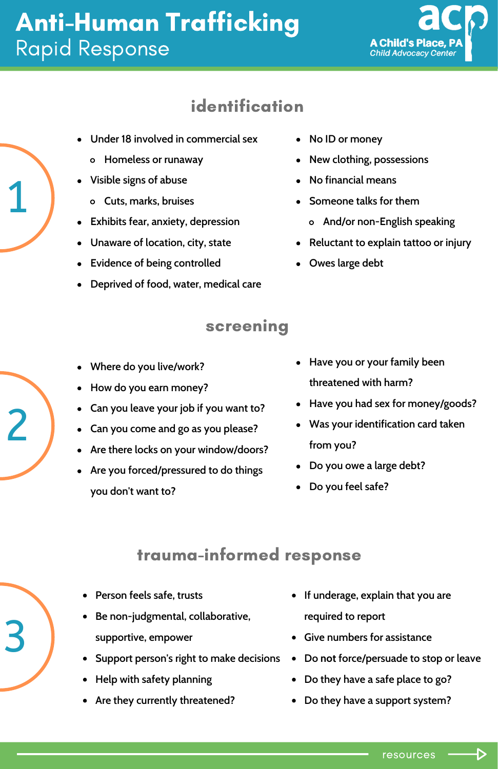# Anti-Human Trafficking Rapid Response



### identification

- **Under 18 involved in commercial sex**
	- **Homeless or runaway**
- **Visible signs of abuse**
- Visible sign<br>Cuts, ma **Cuts, marks, bruises**
	- **Exhibits fear, anxiety, depression**
	- **Unaware of location, city, state**
	- **Evidence of being controlled**
	- **Deprived of food, water, medical care**
- **No ID or money**
- **New clothing, possessions**
- **No financial means**
- **Someone talks for them**
	- **And/or non-English speaking**
- **Reluctant to explain tattoo or injury**
- **Owes large debt**

#### screening

- **Where do you live/work?**
- **How do you earn money?**
- **Can you leave your job if you want to?**
- <sup>2</sup><br>Can you co<br>a Are there is **Can you come and go as you please?**
	- **Are there locks on your window/doors?**
	- **Are you forced/pressured to do things you don't want to?**
- **Have you or your family been threatened with harm?**
- **Have you had sex for money/goods?**
- **Was your identification card taken from you?**
- **Do you owe a large debt?**
- **Do you feel safe?**

### trauma-informed response

- **Person feels safe, trusts**
- $\overline{3}$   $\overline{\phantom{0}}$   $\phantom{0}$   $\phantom{0}$   $\phantom{0}$   $\phantom{0}$   $\phantom{0}$   $\phantom{0}$   $\phantom{0}$   $\phantom{0}$   $\phantom{0}$   $\phantom{0}$   $\phantom{0}$   $\phantom{0}$   $\phantom{0}$   $\phantom{0}$   $\phantom{0}$   $\phantom{0}$   $\phantom{0}$   $\phantom{0}$   $\phantom{0}$   $\phantom{0}$   $\phantom{0}$   $\phantom{0}$   $\$ **Be non-judgmental, collaborative, supportive, empower**
	- **Support person's right to make decisions**
	- **Help with safety planning**
	- **Are they currently threatened?**
- **If underage, explain that you are required to report**
- **Give numbers for assistance**
- **Do not force/persuade to stop or leave**
- **Do they have a safe place to go?**
- **Do they have a support system?**